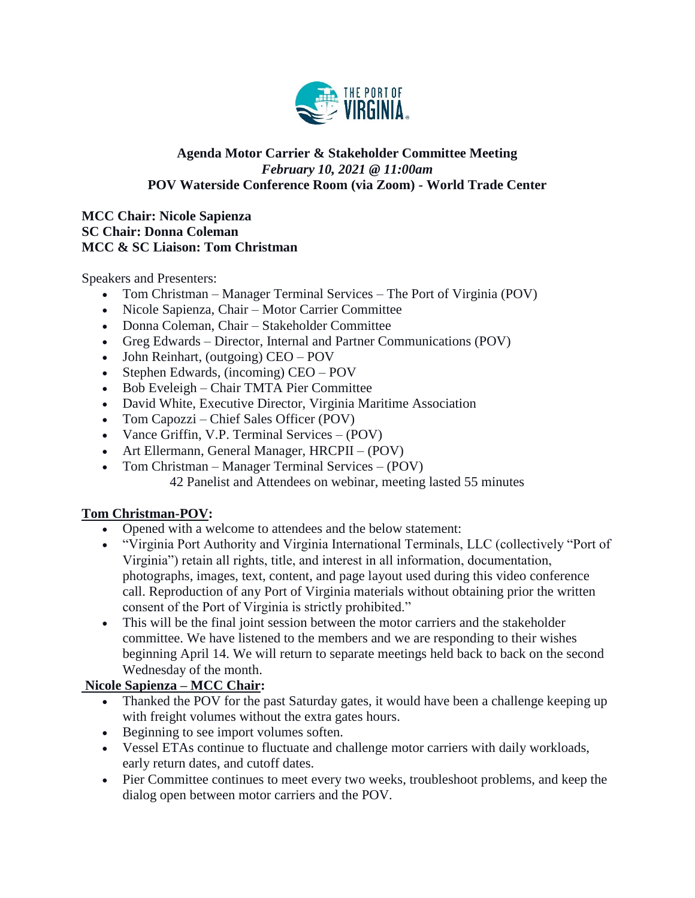

#### **Agenda Motor Carrier & Stakeholder Committee Meeting** *February 10, 2021 @ 11:00am* **POV Waterside Conference Room (via Zoom) - World Trade Center**

#### **MCC Chair: Nicole Sapienza SC Chair: Donna Coleman MCC & SC Liaison: Tom Christman**

Speakers and Presenters:

- Tom Christman Manager Terminal Services The Port of Virginia (POV)
- Nicole Sapienza, Chair Motor Carrier Committee
- Donna Coleman, Chair Stakeholder Committee
- Greg Edwards Director, Internal and Partner Communications (POV)
- John Reinhart, (outgoing) CEO POV
- Stephen Edwards, (incoming) CEO POV
- Bob Eveleigh Chair TMTA Pier Committee
- David White, Executive Director, Virginia Maritime Association
- Tom Capozzi Chief Sales Officer (POV)
- Vance Griffin, V.P. Terminal Services (POV)
- Art Ellermann, General Manager, HRCPII (POV)
- Tom Christman Manager Terminal Services (POV) 42 Panelist and Attendees on webinar, meeting lasted 55 minutes

# **Tom Christman-POV:**

- Opened with a welcome to attendees and the below statement:
- "Virginia Port Authority and Virginia International Terminals, LLC (collectively "Port of Virginia") retain all rights, title, and interest in all information, documentation, photographs, images, text, content, and page layout used during this video conference call. Reproduction of any Port of Virginia materials without obtaining prior the written consent of the Port of Virginia is strictly prohibited."
- This will be the final joint session between the motor carriers and the stakeholder committee. We have listened to the members and we are responding to their wishes beginning April 14. We will return to separate meetings held back to back on the second Wednesday of the month.

# **Nicole Sapienza – MCC Chair:**

- Thanked the POV for the past Saturday gates, it would have been a challenge keeping up with freight volumes without the extra gates hours.
- Beginning to see import volumes soften.
- Vessel ETAs continue to fluctuate and challenge motor carriers with daily workloads, early return dates, and cutoff dates.
- Pier Committee continues to meet every two weeks, troubleshoot problems, and keep the dialog open between motor carriers and the POV.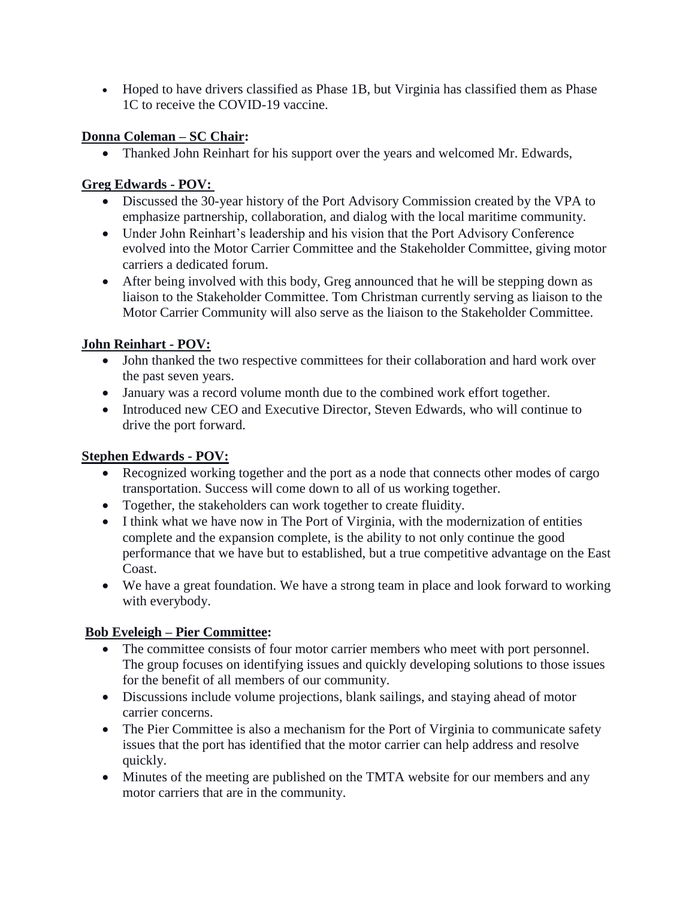Hoped to have drivers classified as Phase 1B, but Virginia has classified them as Phase 1C to receive the COVID-19 vaccine.

# **Donna Coleman – SC Chair:**

• Thanked John Reinhart for his support over the years and welcomed Mr. Edwards,

# **Greg Edwards - POV:**

- Discussed the 30-year history of the Port Advisory Commission created by the VPA to emphasize partnership, collaboration, and dialog with the local maritime community.
- Under John Reinhart's leadership and his vision that the Port Advisory Conference evolved into the Motor Carrier Committee and the Stakeholder Committee, giving motor carriers a dedicated forum.
- After being involved with this body, Greg announced that he will be stepping down as liaison to the Stakeholder Committee. Tom Christman currently serving as liaison to the Motor Carrier Community will also serve as the liaison to the Stakeholder Committee.

# **John Reinhart - POV:**

- John thanked the two respective committees for their collaboration and hard work over the past seven years.
- January was a record volume month due to the combined work effort together.
- Introduced new CEO and Executive Director, Steven Edwards, who will continue to drive the port forward.

# **Stephen Edwards - POV:**

- Recognized working together and the port as a node that connects other modes of cargo transportation. Success will come down to all of us working together.
- Together, the stakeholders can work together to create fluidity.
- I think what we have now in The Port of Virginia, with the modernization of entities complete and the expansion complete, is the ability to not only continue the good performance that we have but to established, but a true competitive advantage on the East Coast.
- We have a great foundation. We have a strong team in place and look forward to working with everybody.

# **Bob Eveleigh – Pier Committee:**

- The committee consists of four motor carrier members who meet with port personnel. The group focuses on identifying issues and quickly developing solutions to those issues for the benefit of all members of our community.
- Discussions include volume projections, blank sailings, and staying ahead of motor carrier concerns.
- The Pier Committee is also a mechanism for the Port of Virginia to communicate safety issues that the port has identified that the motor carrier can help address and resolve quickly.
- Minutes of the meeting are published on the TMTA website for our members and any motor carriers that are in the community.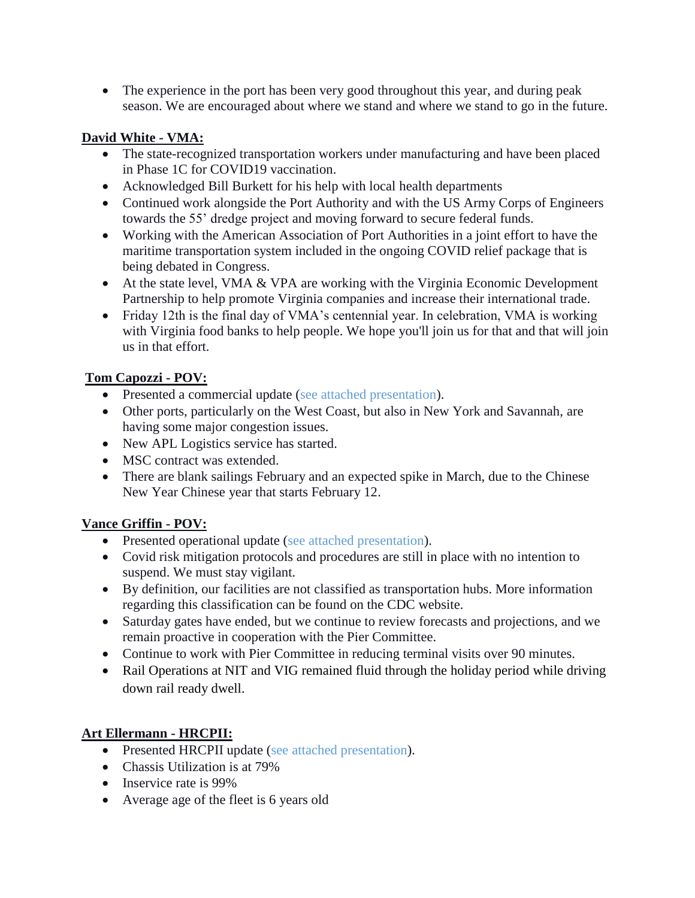• The experience in the port has been very good throughout this year, and during peak season. We are encouraged about where we stand and where we stand to go in the future.

### **David White - VMA:**

- The state-recognized transportation workers under manufacturing and have been placed in Phase 1C for COVID19 vaccination.
- Acknowledged Bill Burkett for his help with local health departments
- Continued work alongside the Port Authority and with the US Army Corps of Engineers towards the 55' dredge project and moving forward to secure federal funds.
- Working with the American Association of Port Authorities in a joint effort to have the maritime transportation system included in the ongoing COVID relief package that is being debated in Congress.
- At the state level, VMA & VPA are working with the Virginia Economic Development Partnership to help promote Virginia companies and increase their international trade.
- Friday 12th is the final day of VMA's centennial year. In celebration, VMA is working with Virginia food banks to help people. We hope you'll join us for that and that will join us in that effort.

## **Tom Capozzi - POV:**

- Presented a commercial update (see attached presentation).
- Other ports, particularly on the West Coast, but also in New York and Savannah, are having some major congestion issues.
- New APL Logistics service has started.
- MSC contract was extended.
- There are blank sailings February and an expected spike in March, due to the Chinese New Year Chinese year that starts February 12.

# **Vance Griffin - POV:**

- Presented operational update (see attached presentation).
- Covid risk mitigation protocols and procedures are still in place with no intention to suspend. We must stay vigilant.
- By definition, our facilities are not classified as transportation hubs. More information regarding this classification can be found on the CDC website.
- Saturday gates have ended, but we continue to review forecasts and projections, and we remain proactive in cooperation with the Pier Committee.
- Continue to work with Pier Committee in reducing terminal visits over 90 minutes.
- Rail Operations at NIT and VIG remained fluid through the holiday period while driving down rail ready dwell.

# **Art Ellermann - HRCPII:**

- Presented HRCPII update (see attached presentation).
- Chassis Utilization is at 79%
- Inservice rate is 99%
- Average age of the fleet is 6 years old